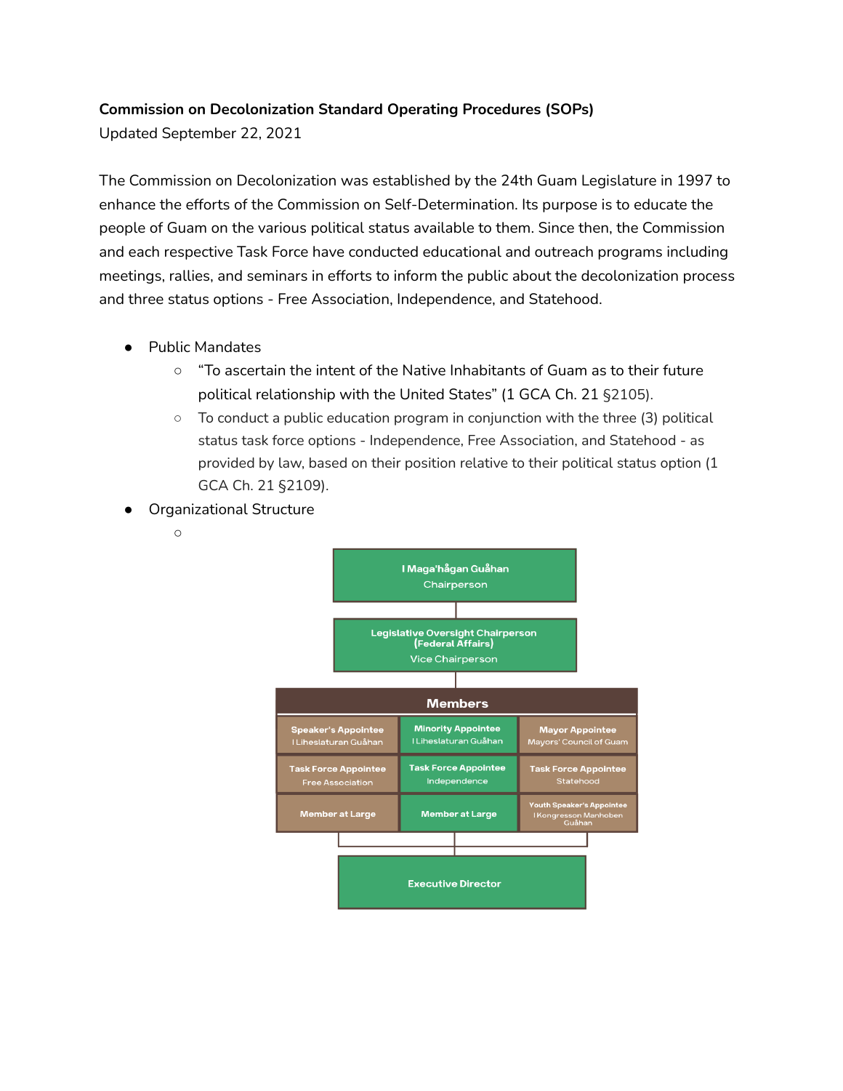## **Commission on Decolonization Standard Operating Procedures (SOPs)**

Updated September 22, 2021

The Commission on Decolonization was established by the 24th Guam Legislature in 1997 to enhance the efforts of the Commission on Self-Determination. Its purpose is to educate the people of Guam on the various political status available to them. Since then, the Commission and each respective Task Force have conducted educational and outreach programs including meetings, rallies, and seminars in efforts to inform the public about the decolonization process and three status options - Free Association, Independence, and Statehood.

- Public Mandates
	- "To ascertain the intent of the Native Inhabitants of Guam as to their future political relationship with the United States" (1 GCA Ch. 21 §2105).
	- $\circ$  To conduct a public education program in conjunction with the three (3) political status task force options - Independence, Free Association, and Statehood - as provided by law, based on their position relative to their political status option (1 GCA Ch. 21 §2109).
- **Organizational Structure** 
	- $\circ$

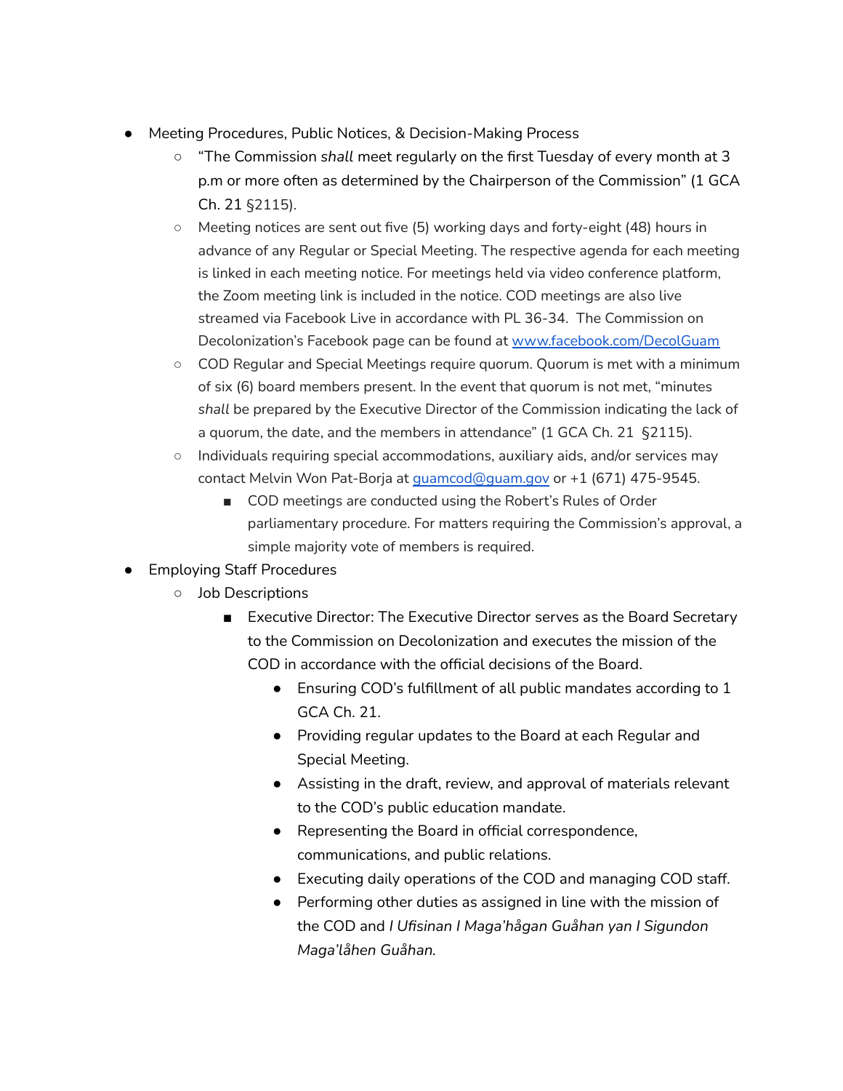- Meeting Procedures, Public Notices, & Decision-Making Process
	- "The Commission *shall* meet regularly on the first Tuesday of every month at 3 p.m or more often as determined by the Chairperson of the Commission" (1 GCA Ch. 21 §2115).
	- Meeting notices are sent out five (5) working days and forty-eight (48) hours in advance of any Regular or Special Meeting. The respective agenda for each meeting is linked in each meeting notice. For meetings held via video conference platform, the Zoom meeting link is included in the notice. COD meetings are also live streamed via Facebook Live in accordance with PL 36-34. The Commission on Decolonization's Facebook page can be found at [www.facebook.com/DecolGuam](http://www.facebook.com/DecolGuam)
	- COD Regular and Special Meetings require quorum. Quorum is met with a minimum of six (6) board members present. In the event that quorum is not met, "minutes *shall* be prepared by the Executive Director of the Commission indicating the lack of a quorum, the date, and the members in attendance" (1 GCA Ch. 21 §2115).
	- Individuals requiring special accommodations, auxiliary aids, and/or services may contact Melvin Won Pat-Borja at [guamcod@guam.gov](mailto:guamcod@guam.gov) or +1 (671) 475-9545.
		- COD meetings are conducted using the Robert's Rules of Order parliamentary procedure. For matters requiring the Commission's approval, a simple majority vote of members is required.
- Employing Staff Procedures
	- Job Descriptions
		- Executive Director: The Executive Director serves as the Board Secretary to the Commission on Decolonization and executes the mission of the COD in accordance with the official decisions of the Board.
			- Ensuring COD's fulfillment of all public mandates according to 1 GCA Ch. 21.
			- Providing regular updates to the Board at each Regular and Special Meeting.
			- Assisting in the draft, review, and approval of materials relevant to the COD's public education mandate.
			- Representing the Board in official correspondence, communications, and public relations.
			- Executing daily operations of the COD and managing COD staff.
			- Performing other duties as assigned in line with the mission of the COD and *I Ufisinan I Maga'hågan Guåhan yan I Sigundon Maga'låhen Guåhan.*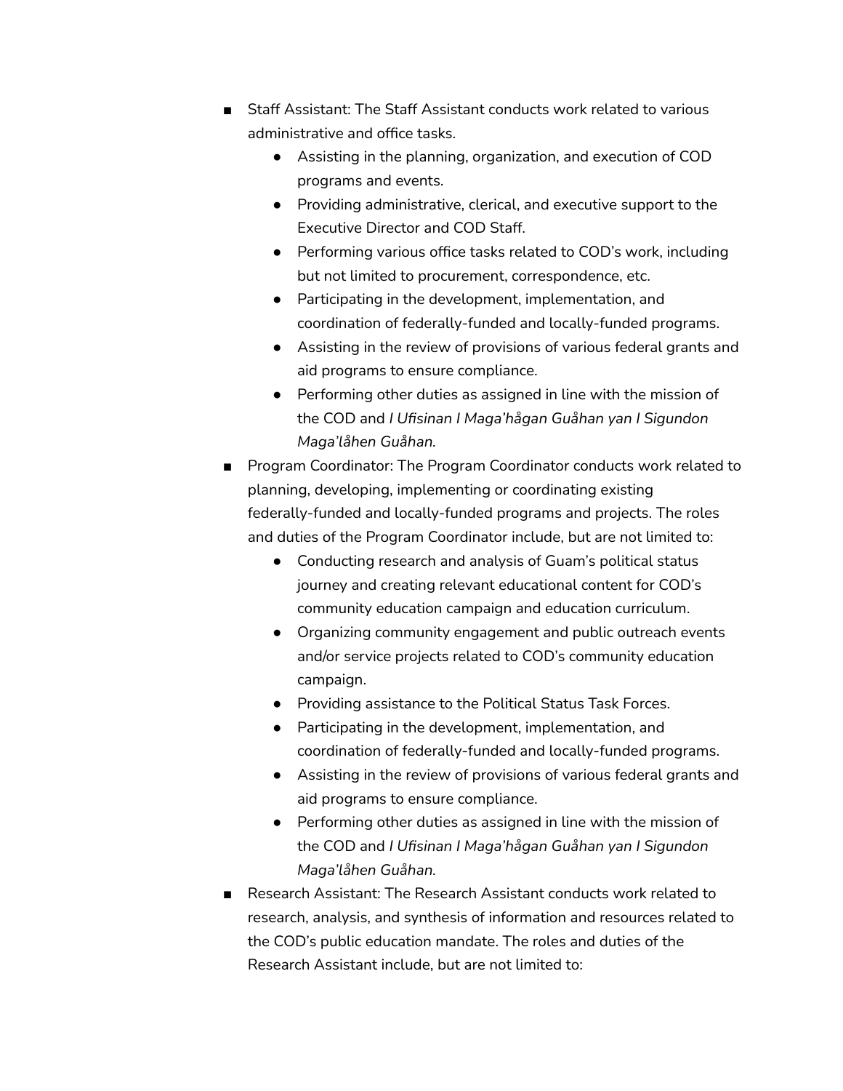- Staff Assistant: The Staff Assistant conducts work related to various administrative and office tasks.
	- Assisting in the planning, organization, and execution of COD programs and events.
	- Providing administrative, clerical, and executive support to the Executive Director and COD Staff.
	- Performing various office tasks related to COD's work, including but not limited to procurement, correspondence, etc.
	- Participating in the development, implementation, and coordination of federally-funded and locally-funded programs.
	- Assisting in the review of provisions of various federal grants and aid programs to ensure compliance.
	- Performing other duties as assigned in line with the mission of the COD and *I Ufisinan I Maga'hågan Guåhan yan I Sigundon Maga'låhen Guåhan.*
- Program Coordinator: The Program Coordinator conducts work related to planning, developing, implementing or coordinating existing federally-funded and locally-funded programs and projects. The roles and duties of the Program Coordinator include, but are not limited to:
	- Conducting research and analysis of Guam's political status journey and creating relevant educational content for COD's community education campaign and education curriculum.
	- Organizing community engagement and public outreach events and/or service projects related to COD's community education campaign.
	- Providing assistance to the Political Status Task Forces.
	- Participating in the development, implementation, and coordination of federally-funded and locally-funded programs.
	- Assisting in the review of provisions of various federal grants and aid programs to ensure compliance.
	- Performing other duties as assigned in line with the mission of the COD and *I Ufisinan I Maga'hågan Guåhan yan I Sigundon Maga'låhen Guåhan.*
- Research Assistant: The Research Assistant conducts work related to research, analysis, and synthesis of information and resources related to the COD's public education mandate. The roles and duties of the Research Assistant include, but are not limited to: